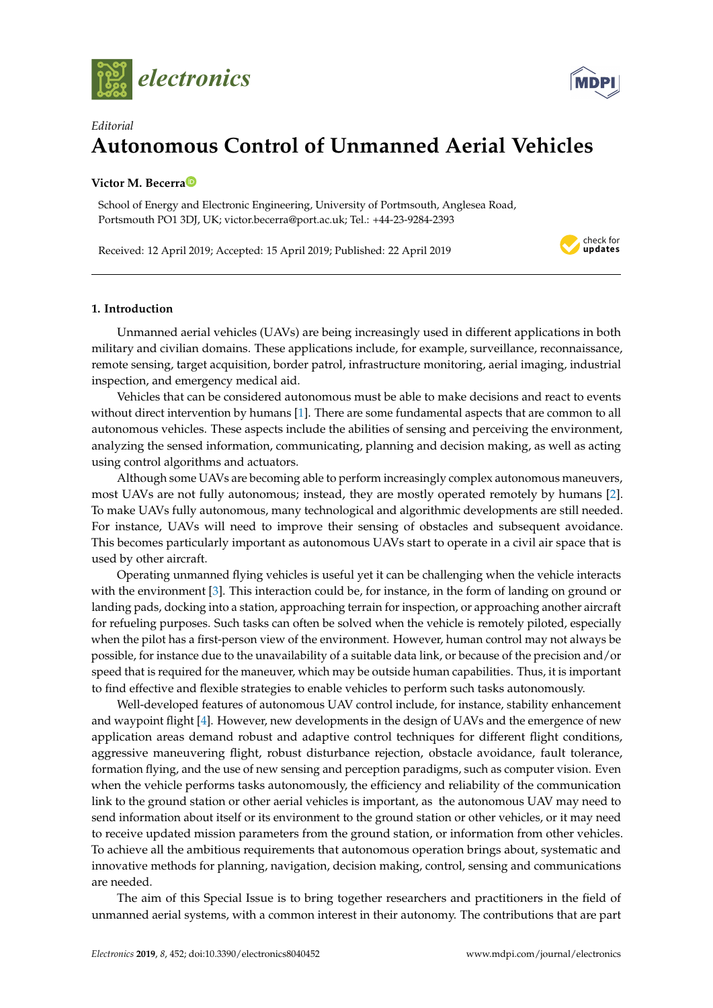



# *Editorial* **Autonomous Control of Unmanned Aerial Vehicles**

## **Victor M. Becerr[a](https://orcid.org/0000-0002-3790-4236)**

School of Energy and Electronic Engineering, University of Portmsouth, Anglesea Road, Portsmouth PO1 3DJ, UK; victor.becerra@port.ac.uk; Tel.: +44-23-9284-2393

Received: 12 April 2019; Accepted: 15 April 2019; Published: 22 April 2019



# **1. Introduction**

Unmanned aerial vehicles (UAVs) are being increasingly used in different applications in both military and civilian domains. These applications include, for example, surveillance, reconnaissance, remote sensing, target acquisition, border patrol, infrastructure monitoring, aerial imaging, industrial inspection, and emergency medical aid.

Vehicles that can be considered autonomous must be able to make decisions and react to events without direct intervention by humans [\[1\]](#page-3-0). There are some fundamental aspects that are common to all autonomous vehicles. These aspects include the abilities of sensing and perceiving the environment, analyzing the sensed information, communicating, planning and decision making, as well as acting using control algorithms and actuators.

Although some UAVs are becoming able to perform increasingly complex autonomous maneuvers, most UAVs are not fully autonomous; instead, they are mostly operated remotely by humans [\[2\]](#page-3-1). To make UAVs fully autonomous, many technological and algorithmic developments are still needed. For instance, UAVs will need to improve their sensing of obstacles and subsequent avoidance. This becomes particularly important as autonomous UAVs start to operate in a civil air space that is used by other aircraft.

Operating unmanned flying vehicles is useful yet it can be challenging when the vehicle interacts with the environment [\[3\]](#page-3-2). This interaction could be, for instance, in the form of landing on ground or landing pads, docking into a station, approaching terrain for inspection, or approaching another aircraft for refueling purposes. Such tasks can often be solved when the vehicle is remotely piloted, especially when the pilot has a first-person view of the environment. However, human control may not always be possible, for instance due to the unavailability of a suitable data link, or because of the precision and/or speed that is required for the maneuver, which may be outside human capabilities. Thus, it is important to find effective and flexible strategies to enable vehicles to perform such tasks autonomously.

Well-developed features of autonomous UAV control include, for instance, stability enhancement and waypoint flight [\[4\]](#page-4-0). However, new developments in the design of UAVs and the emergence of new application areas demand robust and adaptive control techniques for different flight conditions, aggressive maneuvering flight, robust disturbance rejection, obstacle avoidance, fault tolerance, formation flying, and the use of new sensing and perception paradigms, such as computer vision. Even when the vehicle performs tasks autonomously, the efficiency and reliability of the communication link to the ground station or other aerial vehicles is important, as the autonomous UAV may need to send information about itself or its environment to the ground station or other vehicles, or it may need to receive updated mission parameters from the ground station, or information from other vehicles. To achieve all the ambitious requirements that autonomous operation brings about, systematic and innovative methods for planning, navigation, decision making, control, sensing and communications are needed.

The aim of this Special Issue is to bring together researchers and practitioners in the field of unmanned aerial systems, with a common interest in their autonomy. The contributions that are part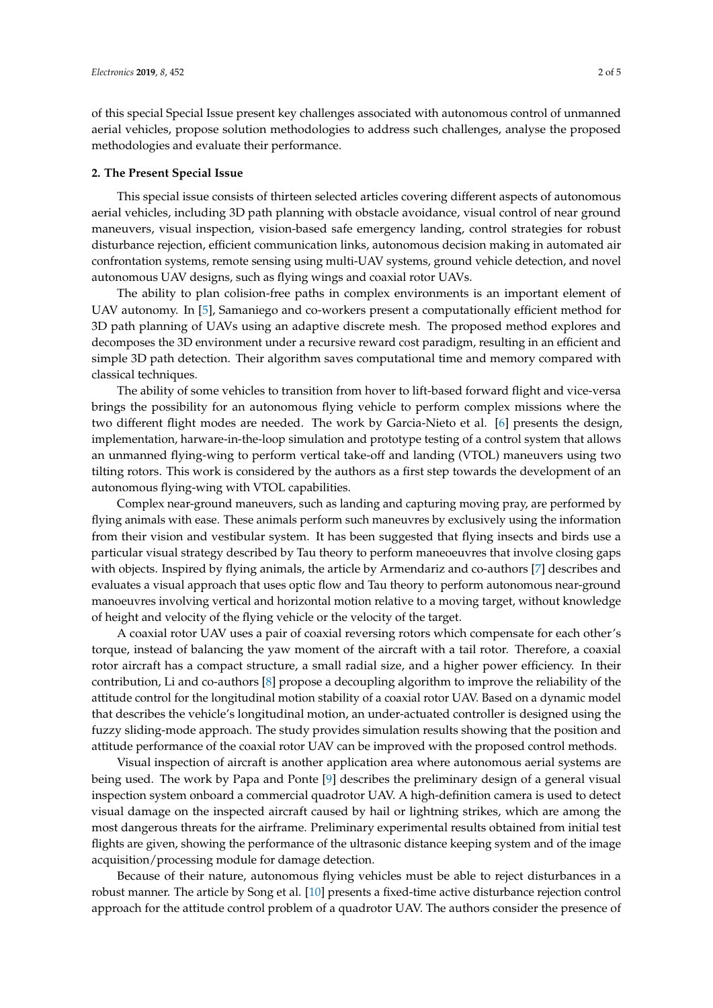of this special Special Issue present key challenges associated with autonomous control of unmanned aerial vehicles, propose solution methodologies to address such challenges, analyse the proposed methodologies and evaluate their performance.

#### **2. The Present Special Issue**

This special issue consists of thirteen selected articles covering different aspects of autonomous aerial vehicles, including 3D path planning with obstacle avoidance, visual control of near ground maneuvers, visual inspection, vision-based safe emergency landing, control strategies for robust disturbance rejection, efficient communication links, autonomous decision making in automated air confrontation systems, remote sensing using multi-UAV systems, ground vehicle detection, and novel autonomous UAV designs, such as flying wings and coaxial rotor UAVs.

The ability to plan colision-free paths in complex environments is an important element of UAV autonomy. In [\[5\]](#page-4-1), Samaniego and co-workers present a computationally efficient method for 3D path planning of UAVs using an adaptive discrete mesh. The proposed method explores and decomposes the 3D environment under a recursive reward cost paradigm, resulting in an efficient and simple 3D path detection. Their algorithm saves computational time and memory compared with classical techniques.

The ability of some vehicles to transition from hover to lift-based forward flight and vice-versa brings the possibility for an autonomous flying vehicle to perform complex missions where the two different flight modes are needed. The work by Garcia-Nieto et al. [\[6\]](#page-4-2) presents the design, implementation, harware-in-the-loop simulation and prototype testing of a control system that allows an unmanned flying-wing to perform vertical take-off and landing (VTOL) maneuvers using two tilting rotors. This work is considered by the authors as a first step towards the development of an autonomous flying-wing with VTOL capabilities.

Complex near-ground maneuvers, such as landing and capturing moving pray, are performed by flying animals with ease. These animals perform such maneuvres by exclusively using the information from their vision and vestibular system. It has been suggested that flying insects and birds use a particular visual strategy described by Tau theory to perform maneoeuvres that involve closing gaps with objects. Inspired by flying animals, the article by Armendariz and co-authors [\[7\]](#page-4-3) describes and evaluates a visual approach that uses optic flow and Tau theory to perform autonomous near-ground manoeuvres involving vertical and horizontal motion relative to a moving target, without knowledge of height and velocity of the flying vehicle or the velocity of the target.

A coaxial rotor UAV uses a pair of coaxial reversing rotors which compensate for each other's torque, instead of balancing the yaw moment of the aircraft with a tail rotor. Therefore, a coaxial rotor aircraft has a compact structure, a small radial size, and a higher power efficiency. In their contribution, Li and co-authors [\[8\]](#page-4-4) propose a decoupling algorithm to improve the reliability of the attitude control for the longitudinal motion stability of a coaxial rotor UAV. Based on a dynamic model that describes the vehicle's longitudinal motion, an under-actuated controller is designed using the fuzzy sliding-mode approach. The study provides simulation results showing that the position and attitude performance of the coaxial rotor UAV can be improved with the proposed control methods.

Visual inspection of aircraft is another application area where autonomous aerial systems are being used. The work by Papa and Ponte [\[9\]](#page-4-5) describes the preliminary design of a general visual inspection system onboard a commercial quadrotor UAV. A high-definition camera is used to detect visual damage on the inspected aircraft caused by hail or lightning strikes, which are among the most dangerous threats for the airframe. Preliminary experimental results obtained from initial test flights are given, showing the performance of the ultrasonic distance keeping system and of the image acquisition/processing module for damage detection.

Because of their nature, autonomous flying vehicles must be able to reject disturbances in a robust manner. The article by Song et al. [\[10\]](#page-4-6) presents a fixed-time active disturbance rejection control approach for the attitude control problem of a quadrotor UAV. The authors consider the presence of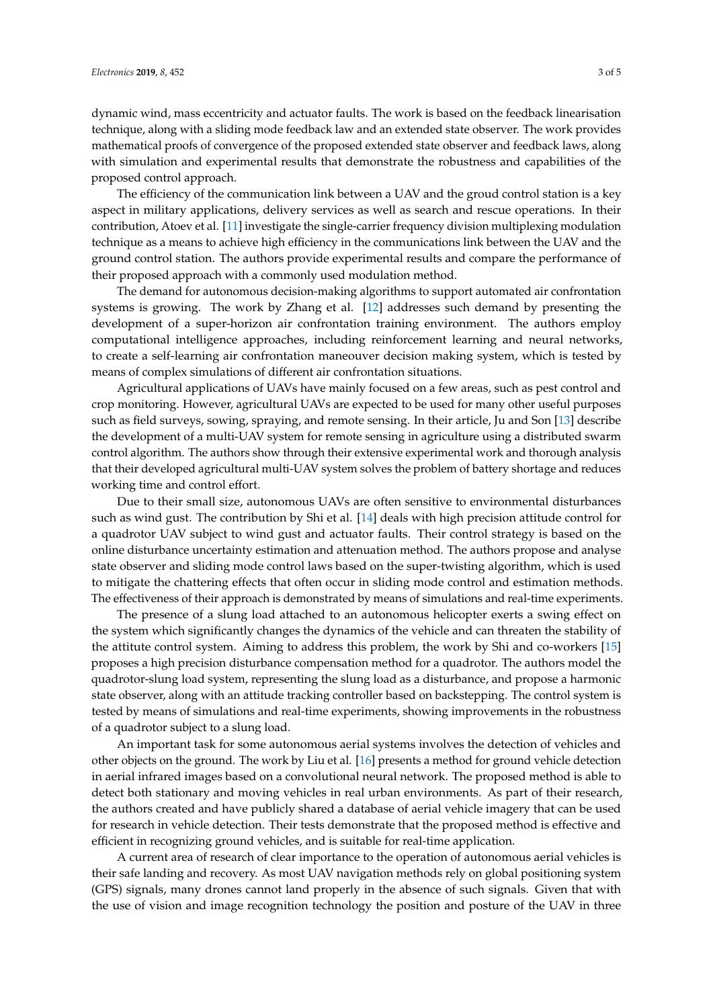dynamic wind, mass eccentricity and actuator faults. The work is based on the feedback linearisation technique, along with a sliding mode feedback law and an extended state observer. The work provides mathematical proofs of convergence of the proposed extended state observer and feedback laws, along with simulation and experimental results that demonstrate the robustness and capabilities of the proposed control approach.

The efficiency of the communication link between a UAV and the groud control station is a key aspect in military applications, delivery services as well as search and rescue operations. In their contribution, Atoev et al. [\[11\]](#page-4-7) investigate the single-carrier frequency division multiplexing modulation technique as a means to achieve high efficiency in the communications link between the UAV and the ground control station. The authors provide experimental results and compare the performance of their proposed approach with a commonly used modulation method.

The demand for autonomous decision-making algorithms to support automated air confrontation systems is growing. The work by Zhang et al. [\[12\]](#page-4-8) addresses such demand by presenting the development of a super-horizon air confrontation training environment. The authors employ computational intelligence approaches, including reinforcement learning and neural networks, to create a self-learning air confrontation maneouver decision making system, which is tested by means of complex simulations of different air confrontation situations.

Agricultural applications of UAVs have mainly focused on a few areas, such as pest control and crop monitoring. However, agricultural UAVs are expected to be used for many other useful purposes such as field surveys, sowing, spraying, and remote sensing. In their article, Ju and Son [\[13\]](#page-4-9) describe the development of a multi-UAV system for remote sensing in agriculture using a distributed swarm control algorithm. The authors show through their extensive experimental work and thorough analysis that their developed agricultural multi-UAV system solves the problem of battery shortage and reduces working time and control effort.

Due to their small size, autonomous UAVs are often sensitive to environmental disturbances such as wind gust. The contribution by Shi et al. [\[14\]](#page-4-10) deals with high precision attitude control for a quadrotor UAV subject to wind gust and actuator faults. Their control strategy is based on the online disturbance uncertainty estimation and attenuation method. The authors propose and analyse state observer and sliding mode control laws based on the super-twisting algorithm, which is used to mitigate the chattering effects that often occur in sliding mode control and estimation methods. The effectiveness of their approach is demonstrated by means of simulations and real-time experiments.

The presence of a slung load attached to an autonomous helicopter exerts a swing effect on the system which significantly changes the dynamics of the vehicle and can threaten the stability of the attitute control system. Aiming to address this problem, the work by Shi and co-workers [\[15\]](#page-4-11) proposes a high precision disturbance compensation method for a quadrotor. The authors model the quadrotor-slung load system, representing the slung load as a disturbance, and propose a harmonic state observer, along with an attitude tracking controller based on backstepping. The control system is tested by means of simulations and real-time experiments, showing improvements in the robustness of a quadrotor subject to a slung load.

An important task for some autonomous aerial systems involves the detection of vehicles and other objects on the ground. The work by Liu et al. [\[16\]](#page-4-12) presents a method for ground vehicle detection in aerial infrared images based on a convolutional neural network. The proposed method is able to detect both stationary and moving vehicles in real urban environments. As part of their research, the authors created and have publicly shared a database of aerial vehicle imagery that can be used for research in vehicle detection. Their tests demonstrate that the proposed method is effective and efficient in recognizing ground vehicles, and is suitable for real-time application.

A current area of research of clear importance to the operation of autonomous aerial vehicles is their safe landing and recovery. As most UAV navigation methods rely on global positioning system (GPS) signals, many drones cannot land properly in the absence of such signals. Given that with the use of vision and image recognition technology the position and posture of the UAV in three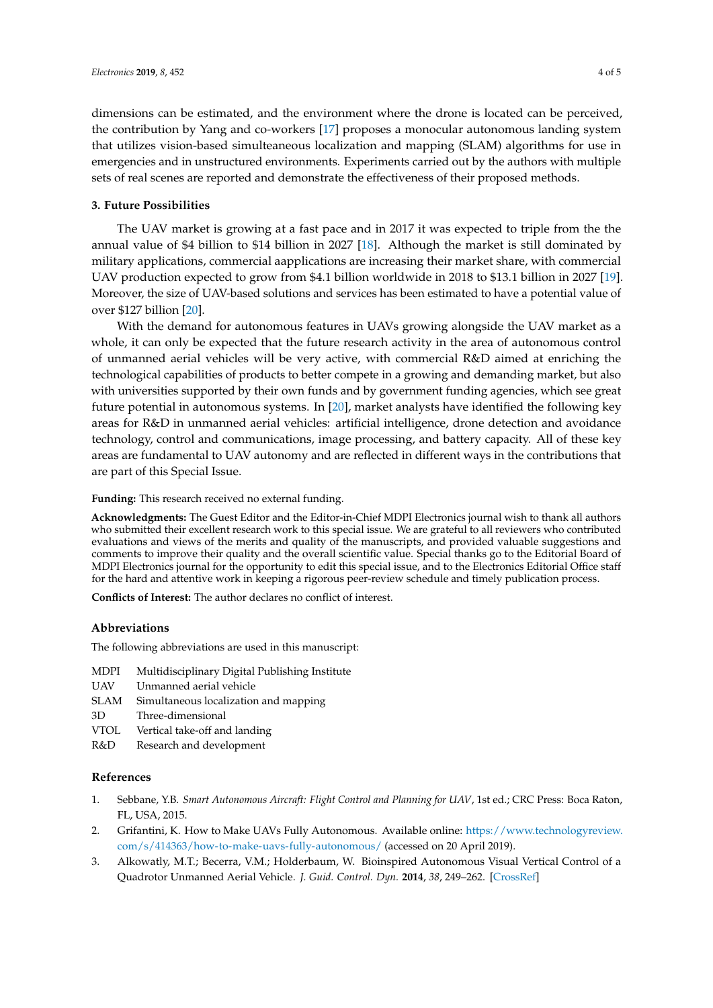dimensions can be estimated, and the environment where the drone is located can be perceived, the contribution by Yang and co-workers [\[17\]](#page-4-13) proposes a monocular autonomous landing system that utilizes vision-based simulteaneous localization and mapping (SLAM) algorithms for use in emergencies and in unstructured environments. Experiments carried out by the authors with multiple sets of real scenes are reported and demonstrate the effectiveness of their proposed methods.

## **3. Future Possibilities**

The UAV market is growing at a fast pace and in 2017 it was expected to triple from the the annual value of \$4 billion to \$14 billion in 2027 [\[18\]](#page-4-14). Although the market is still dominated by military applications, commercial aapplications are increasing their market share, with commercial UAV production expected to grow from \$4.1 billion worldwide in 2018 to \$13.1 billion in 2027 [\[19\]](#page-4-15). Moreover, the size of UAV-based solutions and services has been estimated to have a potential value of over \$127 billion [\[20\]](#page-4-16).

With the demand for autonomous features in UAVs growing alongside the UAV market as a whole, it can only be expected that the future research activity in the area of autonomous control of unmanned aerial vehicles will be very active, with commercial R&D aimed at enriching the technological capabilities of products to better compete in a growing and demanding market, but also with universities supported by their own funds and by government funding agencies, which see great future potential in autonomous systems. In [\[20\]](#page-4-16), market analysts have identified the following key areas for R&D in unmanned aerial vehicles: artificial intelligence, drone detection and avoidance technology, control and communications, image processing, and battery capacity. All of these key areas are fundamental to UAV autonomy and are reflected in different ways in the contributions that are part of this Special Issue.

#### **Funding:** This research received no external funding.

**Acknowledgments:** The Guest Editor and the Editor-in-Chief MDPI Electronics journal wish to thank all authors who submitted their excellent research work to this special issue. We are grateful to all reviewers who contributed evaluations and views of the merits and quality of the manuscripts, and provided valuable suggestions and comments to improve their quality and the overall scientific value. Special thanks go to the Editorial Board of MDPI Electronics journal for the opportunity to edit this special issue, and to the Electronics Editorial Office staff for the hard and attentive work in keeping a rigorous peer-review schedule and timely publication process.

**Conflicts of Interest:** The author declares no conflict of interest.

## **Abbreviations**

The following abbreviations are used in this manuscript:

- MDPI Multidisciplinary Digital Publishing Institute
- UAV Unmanned aerial vehicle
- SLAM Simultaneous localization and mapping
- 3D Three-dimensional
- VTOL Vertical take-off and landing
- R&D Research and development

### **References**

- <span id="page-3-0"></span>1. Sebbane, Y.B. *Smart Autonomous Aircraft: Flight Control and Planning for UAV*, 1st ed.; CRC Press: Boca Raton, FL, USA, 2015.
- <span id="page-3-1"></span>2. Grifantini, K. How to Make UAVs Fully Autonomous. Available online: [https://www.technologyreview.](https://www.technologyreview.com/s/414363/how-to-make-uavs-fully-autonomous/) [com/s/414363/how-to-make-uavs-fully-autonomous/](https://www.technologyreview.com/s/414363/how-to-make-uavs-fully-autonomous/) (accessed on 20 April 2019).
- <span id="page-3-2"></span>3. Alkowatly, M.T.; Becerra, V.M.; Holderbaum, W. Bioinspired Autonomous Visual Vertical Control of a Quadrotor Unmanned Aerial Vehicle. *J. Guid. Control. Dyn.* **2014**, *38*, 249–262. [\[CrossRef\]](http://dx.doi.org/10.2514/1.G000634)